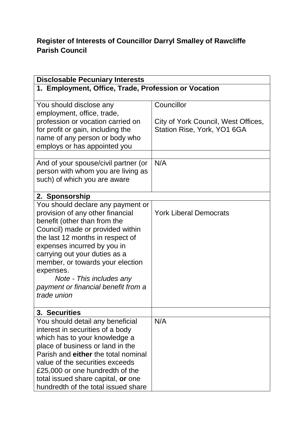## **Register of Interests of Councillor Darryl Smalley of Rawcliffe Parish Council**

| <b>Disclosable Pecuniary Interests</b>                                                                                                                                                                                                                                                                                                                                           |                                                                                  |  |  |  |
|----------------------------------------------------------------------------------------------------------------------------------------------------------------------------------------------------------------------------------------------------------------------------------------------------------------------------------------------------------------------------------|----------------------------------------------------------------------------------|--|--|--|
| 1. Employment, Office, Trade, Profession or Vocation                                                                                                                                                                                                                                                                                                                             |                                                                                  |  |  |  |
| You should disclose any<br>employment, office, trade,<br>profession or vocation carried on<br>for profit or gain, including the<br>name of any person or body who<br>employs or has appointed you                                                                                                                                                                                | Councillor<br>City of York Council, West Offices,<br>Station Rise, York, YO1 6GA |  |  |  |
| And of your spouse/civil partner (or<br>person with whom you are living as<br>such) of which you are aware                                                                                                                                                                                                                                                                       | N/A                                                                              |  |  |  |
| 2. Sponsorship                                                                                                                                                                                                                                                                                                                                                                   |                                                                                  |  |  |  |
| You should declare any payment or<br>provision of any other financial<br>benefit (other than from the<br>Council) made or provided within<br>the last 12 months in respect of<br>expenses incurred by you in<br>carrying out your duties as a<br>member, or towards your election<br>expenses.<br>Note - This includes any<br>payment or financial benefit from a<br>trade union | <b>York Liberal Democrats</b>                                                    |  |  |  |
| 3. Securities                                                                                                                                                                                                                                                                                                                                                                    |                                                                                  |  |  |  |
| You should detail any beneficial<br>interest in securities of a body<br>which has to your knowledge a<br>place of business or land in the<br>Parish and either the total nominal<br>value of the securities exceeds<br>£25,000 or one hundredth of the<br>total issued share capital, or one<br>hundredth of the total issued share                                              | N/A                                                                              |  |  |  |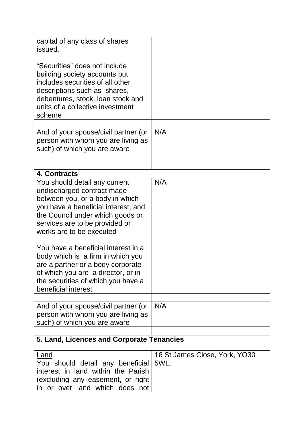| capital of any class of shares<br>issued.                                                                                                                                                                                                                                                                           |                                       |
|---------------------------------------------------------------------------------------------------------------------------------------------------------------------------------------------------------------------------------------------------------------------------------------------------------------------|---------------------------------------|
| "Securities" does not include<br>building society accounts but<br>includes securities of all other<br>descriptions such as shares,<br>debentures, stock, loan stock and<br>units of a collective investment<br>scheme                                                                                               |                                       |
|                                                                                                                                                                                                                                                                                                                     |                                       |
| And of your spouse/civil partner (or<br>person with whom you are living as<br>such) of which you are aware                                                                                                                                                                                                          | N/A                                   |
|                                                                                                                                                                                                                                                                                                                     |                                       |
| 4. Contracts                                                                                                                                                                                                                                                                                                        |                                       |
| You should detail any current<br>undischarged contract made<br>between you, or a body in which<br>you have a beneficial interest, and<br>the Council under which goods or<br>services are to be provided or<br>works are to be executed<br>You have a beneficial interest in a<br>body which is a firm in which you | N/A                                   |
| are a partner or a body corporate<br>of which you are a director, or in<br>the securities of which you have a<br>beneficial interest                                                                                                                                                                                |                                       |
|                                                                                                                                                                                                                                                                                                                     |                                       |
| And of your spouse/civil partner (or<br>person with whom you are living as<br>such) of which you are aware                                                                                                                                                                                                          | N/A                                   |
| 5. Land, Licences and Corporate Tenancies                                                                                                                                                                                                                                                                           |                                       |
| Land<br>You should detail any beneficial<br>interest in land within the Parish<br>(excluding any easement, or right<br>in or over land which does not                                                                                                                                                               | 16 St James Close, York, YO30<br>5WL. |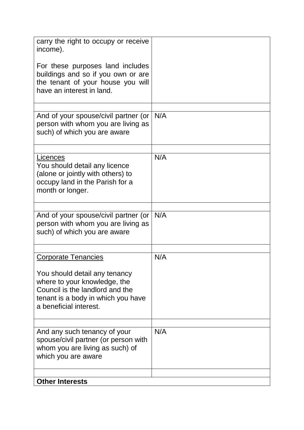| carry the right to occupy or receive<br>income).                                                                                                                 |     |
|------------------------------------------------------------------------------------------------------------------------------------------------------------------|-----|
| For these purposes land includes<br>buildings and so if you own or are<br>the tenant of your house you will<br>have an interest in land.                         |     |
|                                                                                                                                                                  |     |
| And of your spouse/civil partner (or<br>person with whom you are living as<br>such) of which you are aware                                                       | N/A |
| Licences<br>You should detail any licence<br>(alone or jointly with others) to                                                                                   | N/A |
| occupy land in the Parish for a<br>month or longer.                                                                                                              |     |
|                                                                                                                                                                  |     |
| And of your spouse/civil partner (or<br>person with whom you are living as<br>such) of which you are aware                                                       | N/A |
|                                                                                                                                                                  |     |
| <b>Corporate Tenancies</b>                                                                                                                                       | N/A |
| You should detail any tenancy<br>where to your knowledge, the<br>Council is the landlord and the<br>tenant is a body in which you have<br>a beneficial interest. |     |
|                                                                                                                                                                  |     |
| And any such tenancy of your<br>spouse/civil partner (or person with<br>whom you are living as such) of<br>which you are aware                                   | N/A |
| <b>Other Interests</b>                                                                                                                                           |     |
|                                                                                                                                                                  |     |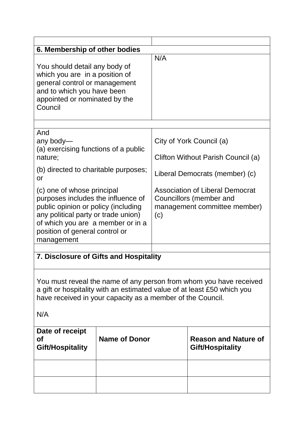| 6. Membership of other bodies                                                                                                                                                                                                       |                      |                                                                                                          |                                                 |  |
|-------------------------------------------------------------------------------------------------------------------------------------------------------------------------------------------------------------------------------------|----------------------|----------------------------------------------------------------------------------------------------------|-------------------------------------------------|--|
| You should detail any body of<br>which you are in a position of<br>general control or management<br>and to which you have been<br>appointed or nominated by the<br>Council                                                          |                      | N/A                                                                                                      |                                                 |  |
|                                                                                                                                                                                                                                     |                      |                                                                                                          |                                                 |  |
| And<br>any body-<br>(a) exercising functions of a public<br>nature;                                                                                                                                                                 |                      | City of York Council (a)<br>Clifton Without Parish Council (a)                                           |                                                 |  |
| (b) directed to charitable purposes;<br>or                                                                                                                                                                                          |                      | Liberal Democrats (member) (c)                                                                           |                                                 |  |
| (c) one of whose principal<br>purposes includes the influence of<br>public opinion or policy (including<br>any political party or trade union)<br>of which you are a member or in a<br>position of general control or<br>management |                      | <b>Association of Liberal Democrat</b><br>Councillors (member and<br>management committee member)<br>(c) |                                                 |  |
|                                                                                                                                                                                                                                     |                      |                                                                                                          |                                                 |  |
| 7. Disclosure of Gifts and Hospitality                                                                                                                                                                                              |                      |                                                                                                          |                                                 |  |
| You must reveal the name of any person from whom you have received<br>a gift or hospitality with an estimated value of at least £50 which you<br>have received in your capacity as a member of the Council.<br>N/A                  |                      |                                                                                                          |                                                 |  |
| Date of receipt<br>Οf<br>Gift/Hospitality                                                                                                                                                                                           | <b>Name of Donor</b> |                                                                                                          | <b>Reason and Nature of</b><br>Gift/Hospitality |  |
|                                                                                                                                                                                                                                     |                      |                                                                                                          |                                                 |  |
|                                                                                                                                                                                                                                     |                      |                                                                                                          |                                                 |  |